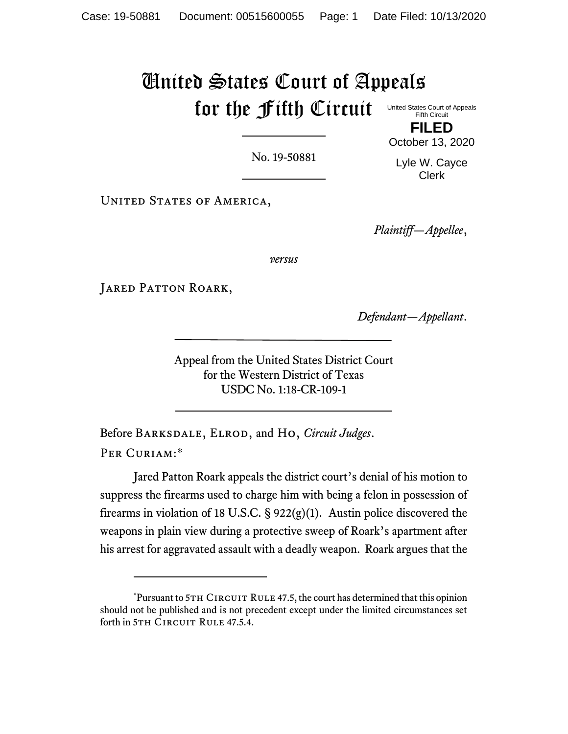## United States Court of Appeals for the Fifth Circuit United States Court of Appeals Fifth Circuit

No. 19-50881

**FILED** October 13, 2020

Lyle W. Cayce Clerk

UNITED STATES OF AMERICA,

*Plaintiff—Appellee*,

*versus*

JARED PATTON ROARK,

*Defendant—Appellant*.

Appeal from the United States District Court for the Western District of Texas USDC No. 1:18-CR-109-1

Before Barksdale, Elrod, and Ho, *Circuit Judges*. PER CURIAM:\*

Jared Patton Roark appeals the district court's denial of his motion to suppress the firearms used to charge him with being a felon in possession of firearms in violation of 18 U.S.C. § 922(g)(1). Austin police discovered the weapons in plain view during a protective sweep of Roark's apartment after his arrest for aggravated assault with a deadly weapon. Roark argues that the

 $*$ Pursuant to 5TH CIRCUIT RULE 47.5, the court has determined that this opinion should not be published and is not precedent except under the limited circumstances set forth in 5TH CIRCUIT RULE 47.5.4.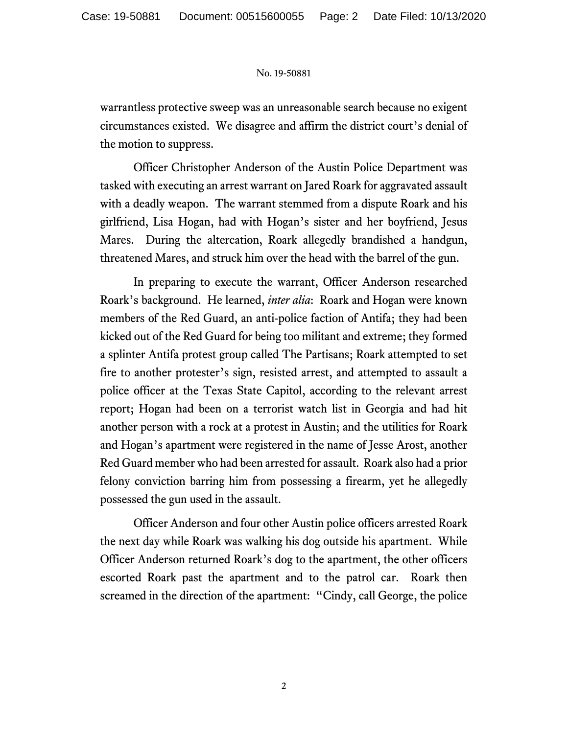## No. 19-50881

warrantless protective sweep was an unreasonable search because no exigent circumstances existed. We disagree and affirm the district court's denial of the motion to suppress.

Officer Christopher Anderson of the Austin Police Department was tasked with executing an arrest warrant on Jared Roark for aggravated assault with a deadly weapon. The warrant stemmed from a dispute Roark and his girlfriend, Lisa Hogan, had with Hogan's sister and her boyfriend, Jesus Mares.During the altercation, Roark allegedly brandished a handgun, threatened Mares, and struck him over the head with the barrel of the gun.

In preparing to execute the warrant, Officer Anderson researched Roark's background. He learned, *inter alia*: Roark and Hogan were known members of the Red Guard, an anti-police faction of Antifa; they had been kicked out of the Red Guard for being too militant and extreme; they formed a splinter Antifa protest group called The Partisans; Roark attempted to set fire to another protester's sign, resisted arrest, and attempted to assault a police officer at the Texas State Capitol, according to the relevant arrest report; Hogan had been on a terrorist watch list in Georgia and had hit another person with a rock at a protest in Austin; and the utilities for Roark and Hogan's apartment were registered in the name of Jesse Arost, another Red Guard member who had been arrested for assault. Roark also had a prior felony conviction barring him from possessing a firearm, yet he allegedly possessed the gun used in the assault.

Officer Anderson and four other Austin police officers arrested Roark the next day while Roark was walking his dog outside his apartment.While Officer Anderson returned Roark's dog to the apartment, the other officers escorted Roark past the apartment and to the patrol car. Roark then screamed in the direction of the apartment: "Cindy, call George, the police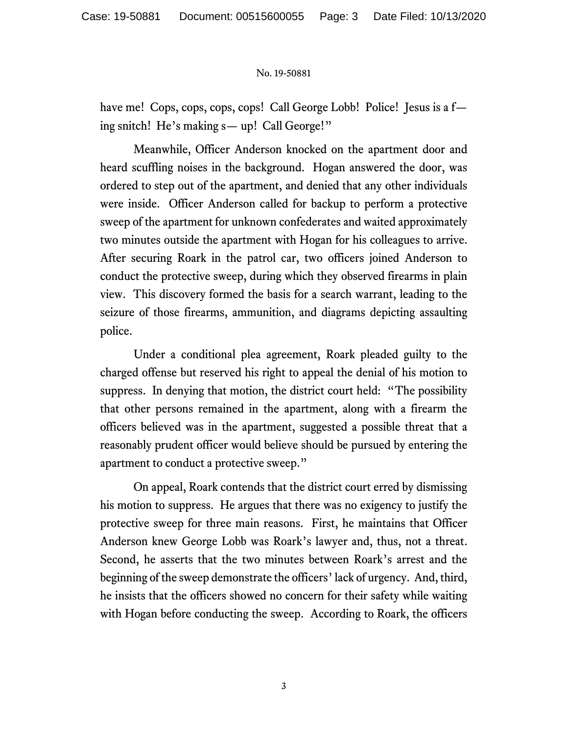## No. 19-50881

have me! Cops, cops, cops, cops! Call George Lobb! Police! Jesus is a fing snitch! He's making s— up! Call George!"

Meanwhile, Officer Anderson knocked on the apartment door and heard scuffling noises in the background. Hogan answered the door, was ordered to step out of the apartment, and denied that any other individuals were inside. Officer Anderson called for backup to perform a protective sweep of the apartment for unknown confederates and waited approximately two minutes outside the apartment with Hogan for his colleagues to arrive. After securing Roark in the patrol car, two officers joined Anderson to conduct the protective sweep, during which they observed firearms in plain view. This discovery formed the basis for a search warrant, leading to the seizure of those firearms, ammunition, and diagrams depicting assaulting police.

Under a conditional plea agreement, Roark pleaded guilty to the charged offense but reserved his right to appeal the denial of his motion to suppress. In denying that motion, the district court held: "The possibility that other persons remained in the apartment, along with a firearm the officers believed was in the apartment, suggested a possible threat that a reasonably prudent officer would believe should be pursued by entering the apartment to conduct a protective sweep."

On appeal, Roark contends that the district court erred by dismissing his motion to suppress. He argues that there was no exigency to justify the protective sweep for three main reasons. First, he maintains that Officer Anderson knew George Lobb was Roark's lawyer and, thus, not a threat. Second, he asserts that the two minutes between Roark's arrest and the beginning of the sweep demonstrate the officers' lack of urgency. And, third, he insists that the officers showed no concern for their safety while waiting with Hogan before conducting the sweep. According to Roark, the officers